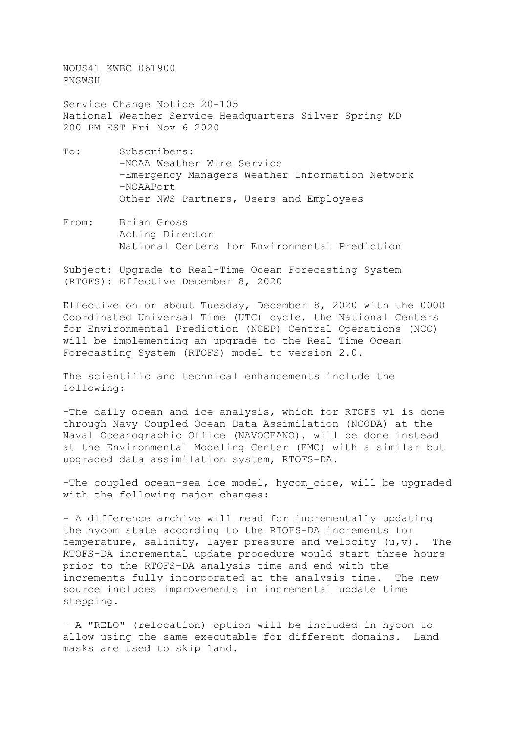NOUS41 KWBC 061900 PNSWSH

Service Change Notice 20-105 National Weather Service Headquarters Silver Spring MD 200 PM EST Fri Nov 6 2020

- To: Subscribers: -NOAA Weather Wire Service -Emergency Managers Weather Information Network -NOAAPort Other NWS Partners, Users and Employees
- From: Brian Gross Acting Director National Centers for Environmental Prediction

Subject: Upgrade to Real-Time Ocean Forecasting System (RTOFS): Effective December 8, 2020

Effective on or about Tuesday, December 8, 2020 with the 0000 Coordinated Universal Time (UTC) cycle, the National Centers for Environmental Prediction (NCEP) Central Operations (NCO) will be implementing an upgrade to the Real Time Ocean Forecasting System (RTOFS) model to version 2.0.

The scientific and technical enhancements include the following:

-The daily ocean and ice analysis, which for RTOFS v1 is done through Navy Coupled Ocean Data Assimilation (NCODA) at the Naval Oceanographic Office (NAVOCEANO), will be done instead at the Environmental Modeling Center (EMC) with a similar but upgraded data assimilation system, RTOFS-DA.

-The coupled ocean-sea ice model, hycom cice, will be upgraded with the following major changes:

- A difference archive will read for incrementally updating the hycom state according to the RTOFS-DA increments for temperature, salinity, layer pressure and velocity (u,v). The RTOFS-DA incremental update procedure would start three hours prior to the RTOFS-DA analysis time and end with the<br>increments fully incorporated at the analysis time. The new increments fully incorporated at the analysis time. source includes improvements in incremental update time stepping.

- A "RELO" (relocation) option will be included in hycom to allow using the same executable for different domains. Land masks are used to skip land.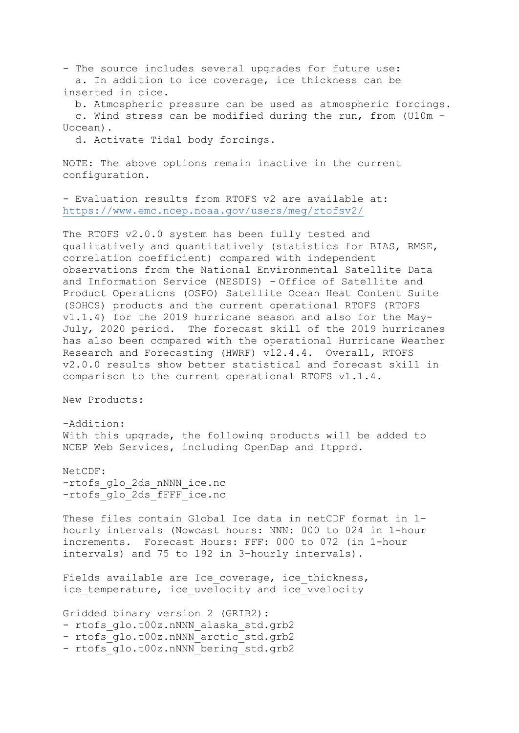- The source includes several upgrades for future use: a. In addition to ice coverage, ice thickness can be inserted in cice.

 b. Atmospheric pressure can be used as atmospheric forcings. c. Wind stress can be modified during the run, from (U10m – Uocean).

d. Activate Tidal body forcings.

NOTE: The above options remain inactive in the current configuration.

- Evaluation results from RTOFS v2 are available at: <https://www.emc.ncep.noaa.gov/users/meg/rtofsv2/>

The RTOFS v2.0.0 system has been fully tested and qualitatively and quantitatively (statistics for BIAS, RMSE, correlation coefficient) compared with independent observations from the National Environmental Satellite Data and Information Service (NESDIS) - Office of Satellite and Product Operations (OSPO) Satellite Ocean Heat Content Suite (SOHCS) products and the current operational RTOFS (RTOFS v1.1.4) for the 2019 hurricane season and also for the May-July, 2020 period. The forecast skill of the 2019 hurricanes has also been compared with the operational Hurricane Weather Research and Forecasting (HWRF) v12.4.4. Overall, RTOFS v2.0.0 results show better statistical and forecast skill in comparison to the current operational RTOFS v1.1.4.

New Products:

-Addition: With this upgrade, the following products will be added to NCEP Web Services, including OpenDap and ftpprd.

NetCDF: -rtofs\_glo\_2ds\_nNNN\_ice.nc -rtofs\_glo\_2ds\_fFFF\_ice.nc

These files contain Global Ice data in netCDF format in 1 hourly intervals (Nowcast hours: NNN: 000 to 024 in 1-hour increments. Forecast Hours: FFF: 000 to 072 (in 1-hour intervals) and 75 to 192 in 3-hourly intervals).

Fields available are Ice coverage, ice thickness, ice temperature, ice uvelocity and ice vvelocity

Gridded binary version 2 (GRIB2): - rtofs glo.t00z.nNNN alaska std.grb2 - rtofs qlo.t00z.nNNN arctic std.grb2 - rtofs glo.t00z.nNNN bering std.grb2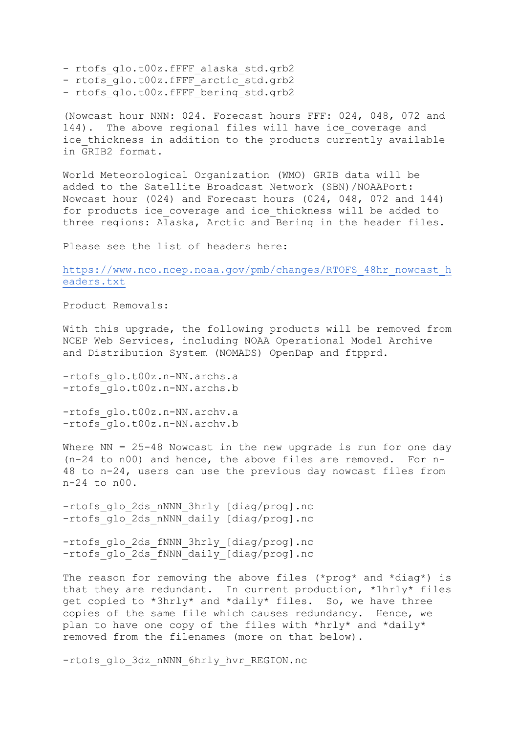- rtofs glo.t00z.fFFF alaska std.grb2
- rtofs qlo.t00z.fFFF arctic std.grb2
- rtofs qlo.t00z.fFFF bering std.grb2

(Nowcast hour NNN: 024. Forecast hours FFF: 024, 048, 072 and 144). The above regional files will have ice\_coverage and ice thickness in addition to the products currently available in GRIB2 format.

World Meteorological Organization (WMO) GRIB data will be added to the Satellite Broadcast Network (SBN)/NOAAPort: Nowcast hour (024) and Forecast hours (024, 048, 072 and 144) for products ice coverage and ice thickness will be added to three regions: Alaska, Arctic and Bering in the header files.

Please see the list of headers here:

[https://www.nco.ncep.noaa.gov/pmb/changes/RTOFS\\_48hr\\_nowcast\\_h](https://www.nco.ncep.noaa.gov/pmb/changes/RTOFS_48hr_nowcast_headers.txt) [eaders.txt](https://www.nco.ncep.noaa.gov/pmb/changes/RTOFS_48hr_nowcast_headers.txt)

Product Removals:

With this upgrade, the following products will be removed from NCEP Web Services, including NOAA Operational Model Archive and Distribution System (NOMADS) OpenDap and ftpprd.

-rtofs qlo.t00z.n-NN.archs.a -rtofs glo.t00z.n-NN.archs.b

-rtofs\_glo.t00z.n-NN.archv.a -rtofs glo.t00z.n-NN.archv.b

Where  $NN = 25-48$  Nowcast in the new upgrade is run for one day (n-24 to n00) and hence, the above files are removed. For n-48 to n-24, users can use the previous day nowcast files from n-24 to n00.

-rtofs\_glo\_2ds\_nNNN\_3hrly [diag/prog].nc -rtofs glo 2ds nNNN daily [diag/prog].nc

-rtofs\_glo\_2ds\_fNNN\_3hrly\_[diag/prog].nc -rtofs\_glo\_2ds\_fNNN\_daily\_[diag/prog].nc

The reason for removing the above files (\*prog\* and \*diag\*) is that they are redundant. In current production, \*1hrly\* files get copied to \*3hrly\* and \*daily\* files. So, we have three copies of the same file which causes redundancy. Hence, we plan to have one copy of the files with \*hrly\* and \*daily\* removed from the filenames (more on that below).

-rtofs glo 3dz nNNN 6hrly hvr REGION.nc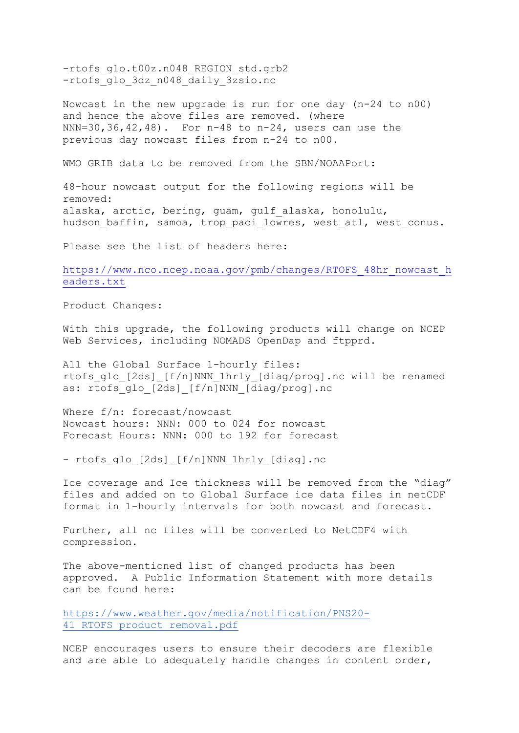-rtofs qlo.t00z.n048 REGION std.grb2 -rtofs glo 3dz n048 daily 3zsio.nc

Nowcast in the new upgrade is run for one day (n-24 to n00) and hence the above files are removed. (where NNN=30,36,42,48). For n-48 to n-24, users can use the previous day nowcast files from n-24 to n00.

WMO GRIB data to be removed from the SBN/NOAAPort:

48-hour nowcast output for the following regions will be removed: alaska, arctic, bering, guam, gulf\_alaska, honolulu, hudson baffin, samoa, trop paci lowres, west atl, west conus.

Please see the list of headers here:

[https://www.nco.ncep.noaa.gov/pmb/changes/RTOFS\\_48hr\\_nowcast\\_h](https://www.nco.ncep.noaa.gov/pmb/changes/RTOFS_48hr_nowcast_headers.txt) [eaders.txt](https://www.nco.ncep.noaa.gov/pmb/changes/RTOFS_48hr_nowcast_headers.txt)

Product Changes:

With this upgrade, the following products will change on NCEP Web Services, including NOMADS OpenDap and ftpprd.

All the Global Surface 1-hourly files: rtofs\_glo\_[2ds]\_[f/n]NNN\_1hrly\_[diag/prog].nc will be renamed as: rtofs glo [2ds] [f/n]NNN [diag/prog].nc

Where f/n: forecast/nowcast Nowcast hours: NNN: 000 to 024 for nowcast Forecast Hours: NNN: 000 to 192 for forecast

- rtofs glo [2ds] [f/n]NNN 1hrly [diag].nc

Ice coverage and Ice thickness will be removed from the "diag" files and added on to Global Surface ice data files in netCDF format in 1-hourly intervals for both nowcast and forecast.

Further, all nc files will be converted to NetCDF4 with compression.

The above-mentioned list of changed products has been approved. A Public Information Statement with more details can be found here:

[https://www.weather.gov/media/notification/PNS20-](https://www.weather.gov/media/notification/PNS20-41_RTOFS_product_removal.pdf) 41 RTOFS product removal.pdf

NCEP encourages users to ensure their decoders are flexible and are able to adequately handle changes in content order,